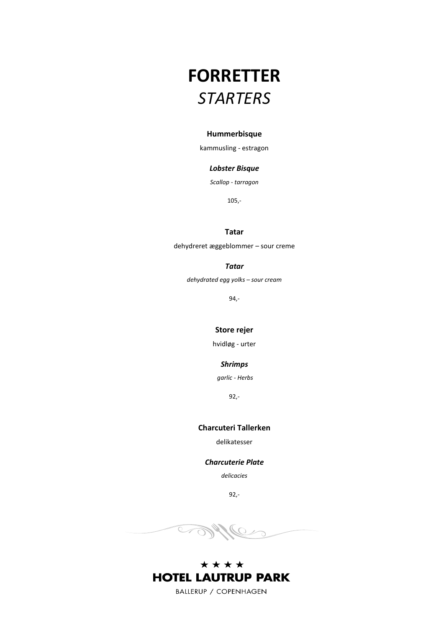# **FORRETTER** *STARTERS*

#### **Hummerbisque**

kammusling - estragon

### *Lobster Bisque*

*Scallop - tarragon*

105,-

### **Tatar**

dehydreret æggeblommer – sour creme

### *Tatar*

*dehydrated egg yolks – sour cream*

94,-

### **Store rejer**

hvidløg - urter

### *Shrimps*

*garlic - Herbs*

92,-

#### **Charcuteri Tallerken**

delikatesser

### *Charcuterie Plate*

*delicacies*

92,-

**SOFT** Le

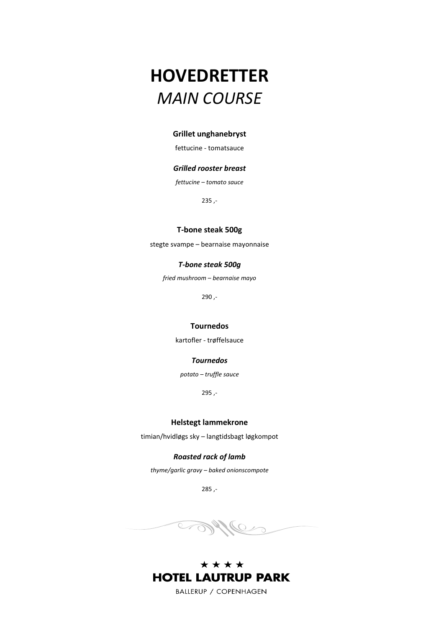# **HOVEDRETTER** *MAIN COURSE*

#### **Grillet unghanebryst**

fettucine - tomatsauce

### *Grilled rooster breast*

*fettucine – tomato sauce*

235 ,-

### **T-bone steak 500g**

stegte svampe – bearnaise mayonnaise

### *T-bone steak 500g*

*fried mushroom – bearnaise mayo*

290 ,-

### **Tournedos**

kartofler - trøffelsauce

### *Tournedos*

*potato – truffle sauce*

295 ,-

#### **Helstegt lammekrone**

timian/hvidløgs sky – langtidsbagt løgkompot

### *Roasted rack of lamb*

*thyme/garlic gravy – baked onionscompote*

285 ,-



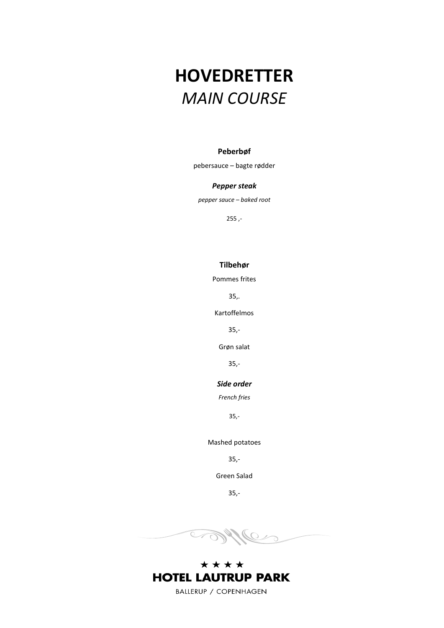# **HOVEDRETTER** *MAIN COURSE*

### **Peberbøf**

pebersauce – bagte rødder

#### *Pepper steak*

*pepper sauce – baked root*

255 ,-

### **Tilbehør**

Pommes frites

35,.

Kartoffelmos

35,-

Grøn salat

35,-

### *Side order*

*French fries*

35,-

Mashed potatoes

35,-

Green Salad

35,-



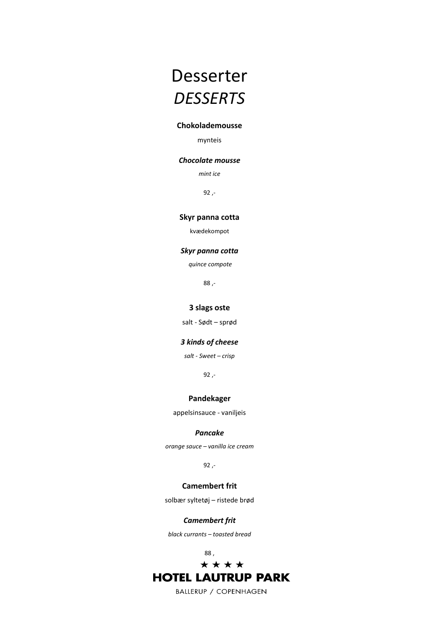# Desserter *DESSERTS*

### **Chokolademousse**

mynteis

### *Chocolate mousse*

*mint ice*

92 ,-

#### **Skyr panna cotta**

kvædekompot

#### *Skyr panna cotta*

*quince compote*

88 ,-

### **3 slags oste**

salt - Sødt – sprød

#### *3 kinds of cheese*

*salt - Sweet – crisp*

92 ,-

#### **Pandekager**

appelsinsauce - vaniljeis

#### *Pancake*

*orange sauce – vanilla ice cream*

92 ,-

### **Camembert frit**

solbær syltetøj – ristede brød

### *Camembert frit*

*black currants – toasted bread*

88 ,

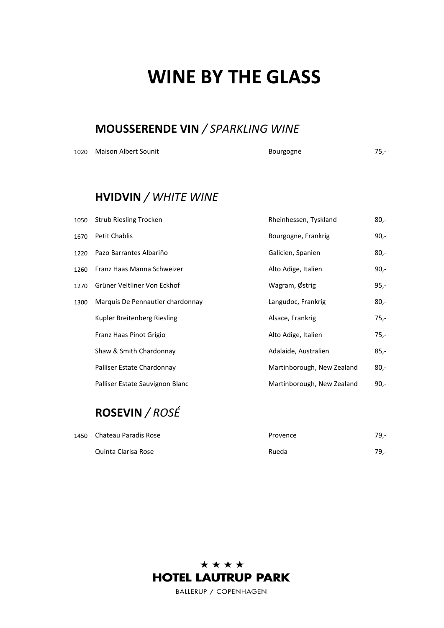# **WINE BY THE GLASS**

## **MOUSSERENDE VIN** */ SPARKLING WINE*

| 1020 Maison Albert Sounit | $75 -$<br>Bourgogne |  |
|---------------------------|---------------------|--|
|                           |                     |  |

## **HVIDVIN** */ WHITE WINE*

| 1050 | Strub Riesling Trocken           | Rheinhessen, Tyskland      | $80,-$ |
|------|----------------------------------|----------------------------|--------|
| 1670 | <b>Petit Chablis</b>             | Bourgogne, Frankrig        | $90,-$ |
| 1220 | Pazo Barrantes Albariño          | Galicien, Spanien          | $80,-$ |
| 1260 | Franz Haas Manna Schweizer       | Alto Adige, Italien        | $90 -$ |
| 1270 | Grüner Veltliner Von Eckhof      | Wagram, Østrig             | $95,-$ |
| 1300 | Marquis De Pennautier chardonnay | Langudoc, Frankrig         | $80,-$ |
|      | Kupler Breitenberg Riesling      | Alsace, Frankrig           | 75,-   |
|      | Franz Haas Pinot Grigio          | Alto Adige, Italien        | 75,-   |
|      | Shaw & Smith Chardonnay          | Adalaide, Australien       | $85,-$ |
|      | Palliser Estate Chardonnay       | Martinborough, New Zealand | $80 -$ |
|      | Palliser Estate Sauvignon Blanc  | Martinborough, New Zealand | $90 -$ |

## **ROSEVIN** */ ROSÉ*

| 1450 Chateau Paradis Rose | Provence | 79,-   |
|---------------------------|----------|--------|
| Quinta Clarisa Rose       | Rueda    | $79 -$ |

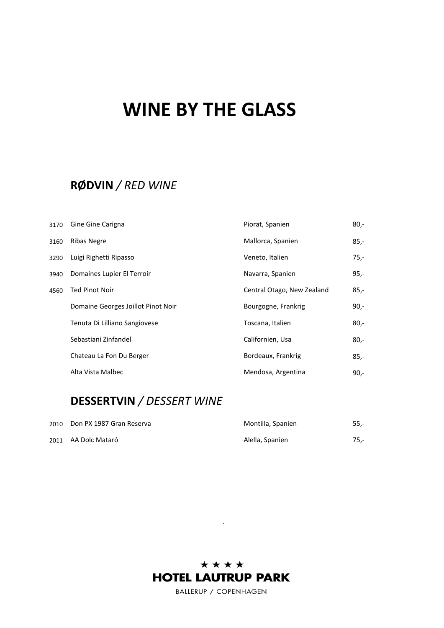# **WINE BY THE GLASS**

# **RØDVIN** */ RED WINE*

| 3170 | Gine Gine Carigna                  | Piorat, Spanien            | $80,-$ |
|------|------------------------------------|----------------------------|--------|
| 3160 | Ribas Negre                        | Mallorca, Spanien          | $85,-$ |
| 3290 | Luigi Righetti Ripasso             | Veneto, Italien            | $75,-$ |
| 3940 | Domaines Lupier El Terroir         | Navarra, Spanien           | $95,-$ |
| 4560 | <b>Ted Pinot Noir</b>              | Central Otago, New Zealand | $85,-$ |
|      | Domaine Georges Joillot Pinot Noir | Bourgogne, Frankrig        | $90 -$ |
|      | Tenuta Di Lilliano Sangiovese      | Toscana, Italien           | $80,-$ |
|      | Sebastiani Zinfandel               | Californien, Usa           | $80 -$ |
|      | Chateau La Fon Du Berger           | Bordeaux, Frankrig         | $85,-$ |
|      | Alta Vista Malbec                  | Mendosa, Argentina         | $90 -$ |

# **DESSERTVIN** */ DESSERT WINE*

| 2010 | Don PX 1987 Gran Reserva | Montilla, Spanien | $55 -$ |
|------|--------------------------|-------------------|--------|
|      | 2011 AA Dolc Mataró      | Alella, Spanien   | $75.-$ |



.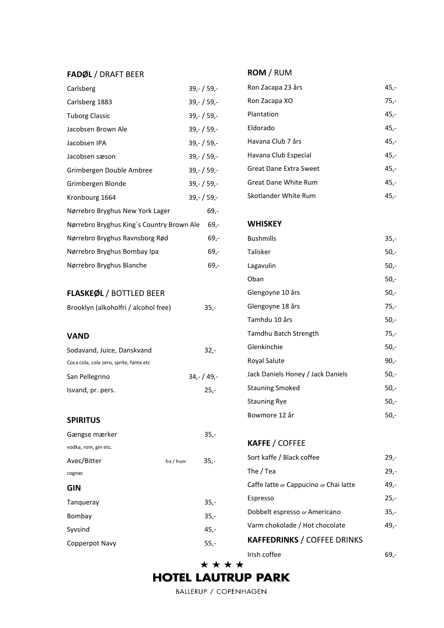### **FADØL** / DRAFT BEER

| Carlsberg                                 | $39,-/59,-$   |
|-------------------------------------------|---------------|
| Carlsberg 1883                            | $39,-/59,-$   |
| <b>Tuborg Classic</b>                     | $39,-/59,-$   |
| Jacobsen Brown Ale                        | 39, - / 59, - |
| Jacobsen IPA                              | $39,-/59,-$   |
| Jacobsen sæson                            | $39,-/59,-$   |
| Grimbergen Double Ambree                  | $39,-/59,-$   |
| Grimbergen Blonde                         | $39 - 159 -$  |
| Kronbourg 1664                            | $39,-/59,-$   |
| Nørrebro Bryghus New York Lager           | $69 -$        |
| Nørrebro Bryghus King's Country Brown Ale | $69,-$        |
| Nørrebro Bryghus Ravnsborg Rød            | $69,-$        |
| Nørrebro Bryghus Bombay Ipa               | $69 -$        |
| Nørrebro Bryghus Blanche                  | 69,-          |
|                                           |               |
| <b>FLASKEØL / BOTTLED BEER</b>            |               |
| Brooklyn (alkoholfri / alcohol free)      | 35,-          |
|                                           |               |
| <b>VAND</b>                               |               |
| Sodavand, Juice, Danskvand                | $32 -$        |
| Coca cola, cola zero, sprite, fanta etc   |               |
| San Pellegrino                            | $34,-/49,-$   |
| Isvand, pr. pers.                         | $25 -$        |
|                                           |               |
| <b>SPIRITUS</b>                           |               |

Gængse mærker 1999 - 35,-

Avec/Bitter fra / from 35,-

Tanqueray 35,- Bombay 35,-Syvsind 45,-Copperpot Navy 55,-

#### **SPIRITUS**

cognac **GIN**

vodka, rom, gin etc.

# Skotlander White Rum 45,-

#### **WHISKEY**

**ROM** / RUM

| <b>Bushmills</b>                  | $35,-$ |
|-----------------------------------|--------|
| Talisker                          | 50,-   |
| Lagavulin                         | $50,-$ |
| Oban                              | 50,-   |
| Glengoyne 10 års                  | 50,-   |
| Glengoyne 18 års                  | $75,-$ |
| Tamhdu 10 års                     | 50,-   |
| Tamdhu Batch Strength             | $75 -$ |
| Glenkinchie                       | 50,-   |
| Royal Salute                      | 90,-   |
| Jack Daniels Honey / Jack Daniels | 50,-   |
| <b>Stauning Smoked</b>            | -50,   |
| <b>Stauning Rye</b>               | 50,-   |
| Bowmore 12 år                     | -50,   |

Ron Zacapa 23 års 45,-Ron Zacapa XO 75,-Plantation 45,-Eldorado 45,- Havana Club 7 års 45,- Havana Club Especial 45,-Great Dane Extra Sweet 45,-Great Dane White Rum 45,-

### **KAFFE** / COFFEE Sort kaffe / Black coffee 29,-The  $/$  Tea 29,-Caffe latte or Cappucino or Chai latte 49,-Espresso 25,- Dobbelt espresso or Americano 35,-Varm chokolade / Hot chocolate 49,-**KAFFEDRINKS** / COFFEE DRINKS Irish coffee 69,-

\*\*\*\*

## **HOTEL LAUTRUP PARK**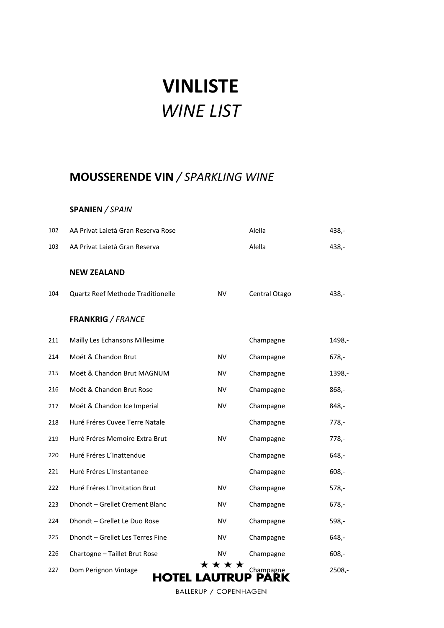# **VINLISTE** *WINE LIST*

# **MOUSSERENDE VIN** */ SPARKLING WINE*

### **SPANIEN** */ SPAIN*

| 102 | AA Privat Laietà Gran Reserva Rose         |           | Alella            | 438,-    |
|-----|--------------------------------------------|-----------|-------------------|----------|
| 103 | AA Privat Laietà Gran Reserva              |           | Alella            | $438,-$  |
|     | <b>NEW ZEALAND</b>                         |           |                   |          |
| 104 | Quartz Reef Methode Traditionelle          | <b>NV</b> | Central Otago     | $438 -$  |
|     | <b>FRANKRIG</b> / FRANCE                   |           |                   |          |
| 211 | Mailly Les Echansons Millesime             |           | Champagne         | 1498,-   |
| 214 | Moët & Chandon Brut                        | <b>NV</b> | Champagne         | $678,-$  |
| 215 | Moët & Chandon Brut MAGNUM                 | <b>NV</b> | Champagne         | 1398,-   |
| 216 | Moët & Chandon Brut Rose                   | NV        | Champagne         | $868,-$  |
| 217 | Moët & Chandon Ice Imperial                | ΝV        | Champagne         | $848,-$  |
| 218 | Huré Fréres Cuvee Terre Natale             |           | Champagne         | $778,-$  |
| 219 | Huré Fréres Memoire Extra Brut             | <b>NV</b> | Champagne         | $778,-$  |
| 220 | Huré Fréres L'Inattendue                   |           | Champagne         | $648,-$  |
| 221 | Huré Fréres L'Instantanee                  |           | Champagne         | $608,-$  |
| 222 | Huré Fréres L'Invitation Brut              | <b>NV</b> | Champagne         | $578,-$  |
| 223 | Dhondt - Grellet Crement Blanc             | <b>NV</b> | Champagne         | $678,-$  |
| 224 | Dhondt - Grellet Le Duo Rose               | <b>NV</b> | Champagne         | $598 -$  |
| 225 | Dhondt - Grellet Les Terres Fine           | ΝV        | Champagne         | $648,-$  |
| 226 | Chartogne - Taillet Brut Rose              | NV        | Champagne         | $608,-$  |
| 227 | Dom Perignon Vintage<br><b>HOTEL LAUTR</b> | * * * *   | Champagne<br>PARK | $2508,-$ |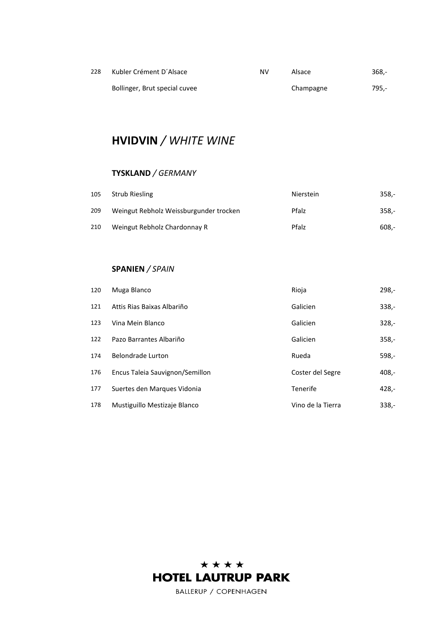| 228 | Kubler Crément D'Alsace       | NV | Alsace    | -.368 |
|-----|-------------------------------|----|-----------|-------|
|     | Bollinger, Brut special cuvee |    | Champagne | 795.- |

# **HVIDVIN** */ WHITE WINE*

### **TYSKLAND** */ GERMANY*

| 105 | <b>Strub Riesling</b>                  | Nierstein | $358 -$ |
|-----|----------------------------------------|-----------|---------|
| 209 | Weingut Rebholz Weissburgunder trocken | Pfalz     | $358 -$ |
| 210 | Weingut Rebholz Chardonnay R           | Pfalz     | -.608   |

### **SPANIEN** */ SPAIN*

| 120 | Muga Blanco                     | Rioja             | $298 -$ |
|-----|---------------------------------|-------------------|---------|
| 121 | Attis Rias Baixas Albariño      | Galicien          | $338 -$ |
| 123 | Vina Mein Blanco                | Galicien          | $328 -$ |
| 122 | Pazo Barrantes Albariño         | Galicien          | $358 -$ |
| 174 | Belondrade Lurton               | Rueda             | $598 -$ |
| 176 | Encus Taleia Sauvignon/Semillon | Coster del Segre  | $408 -$ |
| 177 | Suertes den Marques Vidonia     | Tenerife          | $428 -$ |
| 178 | Mustiguillo Mestizaje Blanco    | Vino de la Tierra | $338 -$ |

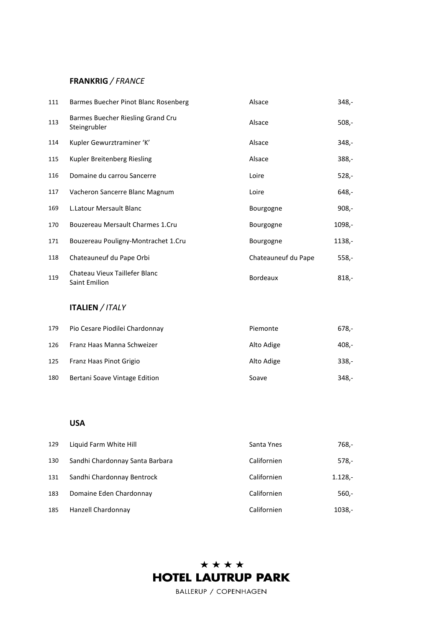### **FRANKRIG** */ FRANCE*

| 111 | Barmes Buecher Pinot Blanc Rosenberg              | Alsace              | 348,-   |
|-----|---------------------------------------------------|---------------------|---------|
| 113 | Barmes Buecher Riesling Grand Cru<br>Steingrubler | Alsace              | $508,-$ |
| 114 | Kupler Gewurztraminer 'K'                         | Alsace              | $348 -$ |
| 115 | Kupler Breitenberg Riesling                       | Alsace              | $388,-$ |
| 116 | Domaine du carrou Sancerre                        | Loire               | $528 -$ |
| 117 | Vacheron Sancerre Blanc Magnum                    | Loire               | $648,-$ |
| 169 | L. Latour Mersault Blanc                          | Bourgogne           | $908 -$ |
| 170 | Bouzereau Mersault Charmes 1.Cru                  | Bourgogne           | 1098,-  |
| 171 | Bouzereau Pouligny-Montrachet 1.Cru               | Bourgogne           | 1138,-  |
| 118 | Chateauneuf du Pape Orbi                          | Chateauneuf du Pape | $558 -$ |
| 119 | Chateau Vieux Taillefer Blanc<br>Saint Emilion    | <b>Bordeaux</b>     | $818,-$ |

### **ITALIEN** */ ITALY*

| 179 | Pio Cesare Piodilei Chardonnay | Piemonte   | 678,-   |
|-----|--------------------------------|------------|---------|
| 126 | Franz Haas Manna Schweizer     | Alto Adige | 408,-   |
| 125 | Franz Haas Pinot Grigio        | Alto Adige | $338 -$ |
| 180 | Bertani Soave Vintage Edition  | Soave      | 348,-   |

### **USA**

| 129 | Liquid Farm White Hill          | Santa Ynes  | 768,-     |
|-----|---------------------------------|-------------|-----------|
| 130 | Sandhi Chardonnay Santa Barbara | Californien | $578 -$   |
| 131 | Sandhi Chardonnay Bentrock      | Californien | $1.128 -$ |
| 183 | Domaine Eden Chardonnay         | Californien | $560 -$   |
| 185 | Hanzell Chardonnay              | Californien | 1038,-    |

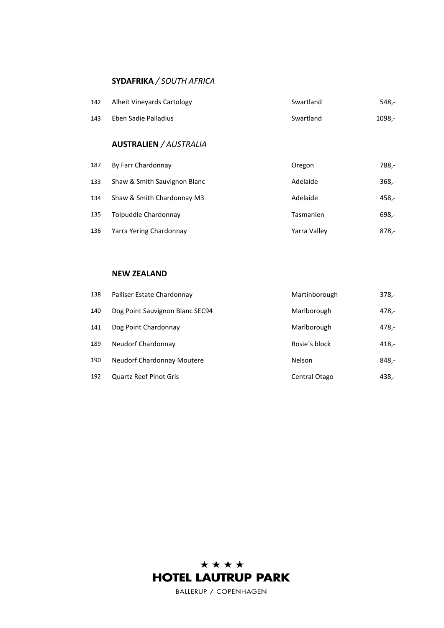### **SYDAFRIKA** */ SOUTH AFRICA*

| 142 | Alheit Vineyards Cartology | Swartland | 548.-  |
|-----|----------------------------|-----------|--------|
| 143 | Eben Sadie Palladius       | Swartland | 1098.- |

### **AUSTRALIEN** */ AUSTRALIA*

| 187 | By Farr Chardonnay           | Oregon       | 788,-   |
|-----|------------------------------|--------------|---------|
| 133 | Shaw & Smith Sauvignon Blanc | Adelaide     | $368 -$ |
| 134 | Shaw & Smith Chardonnay M3   | Adelaide     | 458,-   |
| 135 | Tolpuddle Chardonnay         | Tasmanien    | 698,-   |
| 136 | Yarra Yering Chardonnay      | Yarra Valley | $878,-$ |

### **NEW ZEALAND**

| 138 | Palliser Estate Chardonnay        | Martinborough | $378 -$ |
|-----|-----------------------------------|---------------|---------|
| 140 | Dog Point Sauvignon Blanc SEC94   | Marlborough   | 478,-   |
| 141 | Dog Point Chardonnay              | Marlborough   | 478,-   |
| 189 | Neudorf Chardonnay                | Rosie's block | 418,-   |
| 190 | <b>Neudorf Chardonnay Moutere</b> | <b>Nelson</b> | 848,-   |
| 192 | <b>Quartz Reef Pinot Gris</b>     | Central Otago | 438,-   |

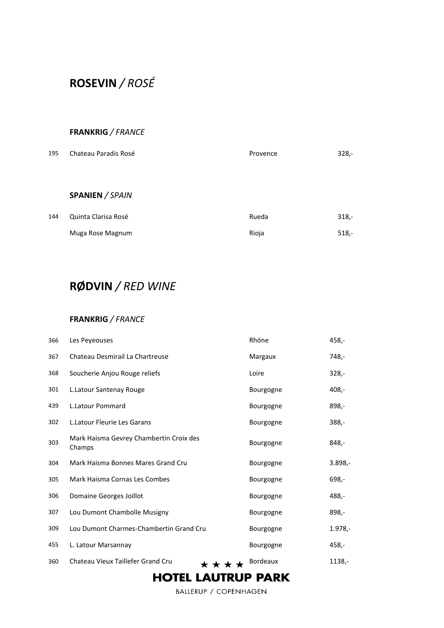# **ROSEVIN** */ ROSÉ*

### **FRANKRIG** */ FRANCE*

| 195 | Chateau Paradis Rosé | Provence | $328 -$ |
|-----|----------------------|----------|---------|
|     |                      |          |         |
|     | SPANIEN / SPAIN      |          |         |
| 144 | Quinta Clarisa Rosé  | Rueda    | $318,-$ |
|     | Muga Rose Magnum     | Rioja    | $518 -$ |

# **RØDVIN** */ RED WINE*

### **FRANKRIG** */ FRANCE*

| 366 | Les Peyeouses                                     | Rhóne            | 458,-      |
|-----|---------------------------------------------------|------------------|------------|
| 367 | Chateau Desmirail La Chartreuse                   | Margaux          | 748,-      |
| 368 | Soucherie Anjou Rouge reliefs                     | Loire            | $328 -$    |
| 301 | L.Latour Santenay Rouge                           | Bourgogne        | 408,-      |
| 439 | <b>L.Latour Pommard</b>                           | <b>Bourgogne</b> | 898,-      |
| 302 | L. Latour Fleurie Les Garans                      | <b>Bourgogne</b> | 388,-      |
| 303 | Mark Haisma Gevrey Chambertin Croix des<br>Champs | Bourgogne        | 848,-      |
| 304 | Mark Haisma Bonnes Mares Grand Cru                | Bourgogne        | $3.898,-$  |
| 305 | Mark Haisma Cornas Les Combes                     | <b>Bourgogne</b> | 698,-      |
| 306 | Domaine Georges Joillot                           | <b>Bourgogne</b> | 488,-      |
| 307 | Lou Dumont Chambolle Musigny                      | Bourgogne        | 898,-      |
| 309 | Lou Dumont Charmes-Chambertin Grand Cru           | Bourgogne        | $1.978, -$ |
| 455 | L. Latour Marsannay                               | Bourgogne        | 458,-      |
| 360 | Chateau Vieux Taillefer Grand Cru<br>* * * *      | Bordeaux         | 1138,-     |

## **HOTEL LAUTRUP PARK**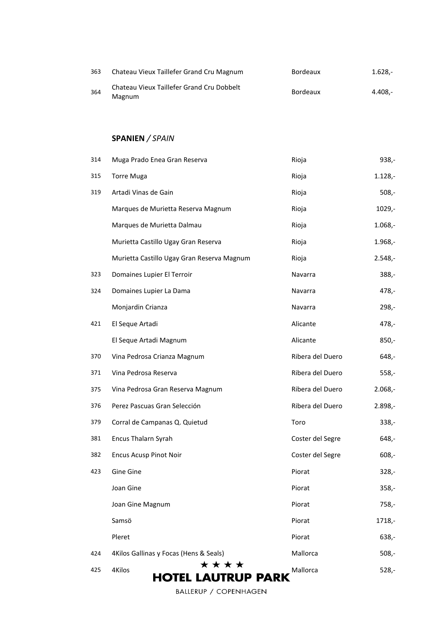| 363 | Chateau Vieux Taillefer Grand Cru Magnum                   | <b>Bordeaux</b> | $1.628 -$ |
|-----|------------------------------------------------------------|-----------------|-----------|
| 364 | Chateau Vieux Taillefer Grand Cru Dobbelt<br><b>Magnum</b> | <b>Bordeaux</b> | 4.408.-   |

### **SPANIEN** */ SPAIN*

| 314 | Muga Prado Enea Gran Reserva                | Rioja            | $938,-$   |
|-----|---------------------------------------------|------------------|-----------|
| 315 | <b>Torre Muga</b>                           | Rioja            | $1.128 -$ |
| 319 | Artadi Vinas de Gain                        | Rioja            | $508,-$   |
|     | Marques de Murietta Reserva Magnum          | Rioja            | $1029,-$  |
|     | Marques de Murietta Dalmau                  | Rioja            | $1.068,-$ |
|     | Murietta Castillo Ugay Gran Reserva         | Rioja            | $1.968,-$ |
|     | Murietta Castillo Ugay Gran Reserva Magnum  | Rioja            | $2.548 -$ |
| 323 | Domaines Lupier El Terroir                  | Navarra          | $388,-$   |
| 324 | Domaines Lupier La Dama                     | Navarra          | 478,-     |
|     | Monjardin Crianza                           | Navarra          | 298,-     |
| 421 | El Seque Artadi                             | Alicante         | 478,-     |
|     | El Seque Artadi Magnum                      | Alicante         | $850,-$   |
| 370 | Vina Pedrosa Crianza Magnum                 | Ribera del Duero | $648,-$   |
| 371 | Vina Pedrosa Reserva                        | Ribera del Duero | $558,-$   |
| 375 | Vina Pedrosa Gran Reserva Magnum            | Ribera del Duero | $2.068,-$ |
| 376 | Perez Pascuas Gran Selección                | Ribera del Duero | $2.898,-$ |
| 379 | Corral de Campanas Q. Quietud               | Toro             | 338,-     |
| 381 | Encus Thalarn Syrah                         | Coster del Segre | 648,-     |
| 382 | <b>Encus Acusp Pinot Noir</b>               | Coster del Segre | $608,-$   |
| 423 | Gine Gine                                   | Piorat           | $328,-$   |
|     | Joan Gine                                   | Piorat           | $358,-$   |
|     | Joan Gine Magnum                            | Piorat           | $758,-$   |
|     | Samsö                                       | Piorat           | 1718,-    |
|     | Pleret                                      | Piorat           | $638 -$   |
| 424 | 4Kilos Gallinas y Focas (Hens & Seals)      | Mallorca         | $508,-$   |
| 425 | ****<br>4Kilos<br><b>HOTEL LAUTRUP PARK</b> | Mallorca         | $528 -$   |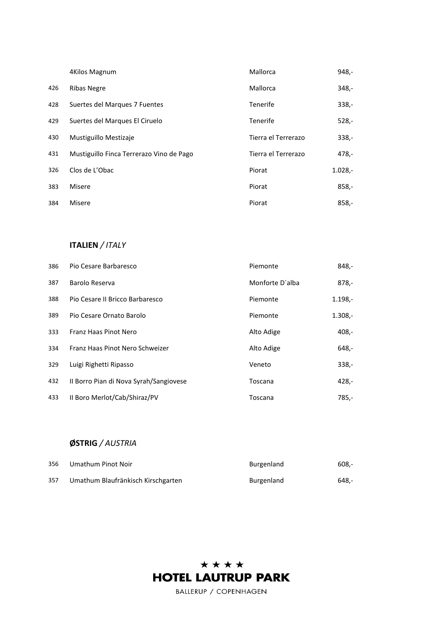|     | 4Kilos Magnum                            | Mallorca            | 948,-     |
|-----|------------------------------------------|---------------------|-----------|
| 426 | <b>Ribas Negre</b>                       | Mallorca            | $348,-$   |
| 428 | Suertes del Marques 7 Fuentes            | Tenerife            | $338 -$   |
| 429 | Suertes del Marques El Ciruelo           | Tenerife            | $528 -$   |
| 430 | Mustiguillo Mestizaje                    | Tierra el Terrerazo | $338 -$   |
| 431 | Mustiguillo Finca Terrerazo Vino de Pago | Tierra el Terrerazo | $478 -$   |
| 326 | Clos de L'Obac                           | Piorat              | $1.028,-$ |
| 383 | Misere                                   | Piorat              | $858,-$   |
| 384 | Misere                                   | Piorat              | $858,-$   |

### **ITALIEN** */ ITALY*

| 386 | Pio Cesare Barbaresco                  | Piemonte        | $848 -$   |
|-----|----------------------------------------|-----------------|-----------|
| 387 | Barolo Reserva                         | Monforte D'alba | $878,-$   |
| 388 | Pio Cesare II Bricco Barbaresco        | Piemonte        | $1.198,-$ |
| 389 | Pio Cesare Ornato Barolo               | Piemonte        | $1.308 -$ |
| 333 | Franz Haas Pinot Nero                  | Alto Adige      | $408 -$   |
| 334 | Franz Haas Pinot Nero Schweizer        | Alto Adige      | $648 -$   |
| 329 | Luigi Righetti Ripasso                 | Veneto          | $338 -$   |
| 432 | Il Borro Pian di Nova Syrah/Sangiovese | Toscana         | 428,-     |
| 433 | Il Boro Merlot/Cab/Shiraz/PV           | Toscana         | $785 -$   |

### **ØSTRIG** */ AUSTRIA*

| 356 | Umathum Pinot Noir                 | Burgenland | $608 -$ |
|-----|------------------------------------|------------|---------|
| 357 | Umathum Blaufränkisch Kirschgarten | Burgenland | 648.-   |

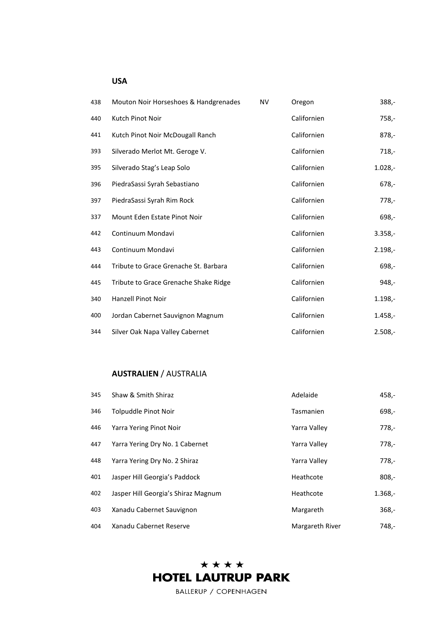### **USA**

| 438 | Mouton Noir Horseshoes & Handgrenades | <b>NV</b> | Oregon      | $388,-$   |
|-----|---------------------------------------|-----------|-------------|-----------|
| 440 | Kutch Pinot Noir                      |           | Californien | $758,-$   |
| 441 | Kutch Pinot Noir McDougall Ranch      |           | Californien | $878 -$   |
| 393 | Silverado Merlot Mt. Geroge V.        |           | Californien | $718,-$   |
| 395 | Silverado Stag's Leap Solo            |           | Californien | $1.028,-$ |
| 396 | PiedraSassi Syrah Sebastiano          |           | Californien | $678,-$   |
| 397 | PiedraSassi Syrah Rim Rock            |           | Californien | $778,-$   |
| 337 | Mount Eden Estate Pinot Noir          |           | Californien | $698 -$   |
| 442 | Continuum Mondavi                     |           | Californien | $3.358,-$ |
| 443 | Continuum Mondavi                     |           | Californien | $2.198 -$ |
| 444 | Tribute to Grace Grenache St. Barbara |           | Californien | 698,-     |
| 445 | Tribute to Grace Grenache Shake Ridge |           | Californien | $948,-$   |
| 340 | <b>Hanzell Pinot Noir</b>             |           | Californien | $1.198 -$ |
| 400 | Jordan Cabernet Sauvignon Magnum      |           | Californien | $1.458,-$ |
| 344 | Silver Oak Napa Valley Cabernet       |           | Californien | $2.508,-$ |

### **AUSTRALIEN** / AUSTRALIA

| 345 | Shaw & Smith Shiraz                 | Adelaide        | 458,-     |
|-----|-------------------------------------|-----------------|-----------|
| 346 | Tolpuddle Pinot Noir                | Tasmanien       | $698 -$   |
| 446 | Yarra Yering Pinot Noir             | Yarra Valley    | $778 -$   |
| 447 | Yarra Yering Dry No. 1 Cabernet     | Yarra Valley    | 778,-     |
| 448 | Yarra Yering Dry No. 2 Shiraz       | Yarra Valley    | $778 -$   |
| 401 | Jasper Hill Georgia's Paddock       | Heathcote       | $808,-$   |
| 402 | Jasper Hill Georgia's Shiraz Magnum | Heathcote       | $1.368,-$ |
| 403 | Xanadu Cabernet Sauvignon           | Margareth       | $368 -$   |
| 404 | Xanadu Cabernet Reserve             | Margareth River | 748,-     |

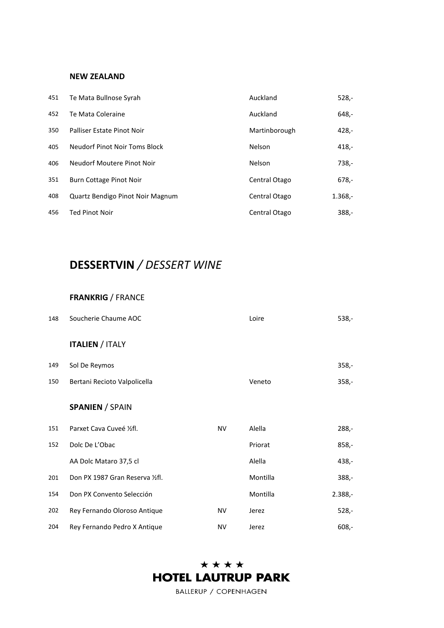### **NEW ZEALAND**

| 451 | Te Mata Bullnose Syrah           | Auckland      | $528 -$   |
|-----|----------------------------------|---------------|-----------|
| 452 | Te Mata Coleraine                | Auckland      | $648,-$   |
| 350 | Palliser Estate Pinot Noir       | Martinborough | $428 -$   |
| 405 | Neudorf Pinot Noir Toms Block    | Nelson        | $418 -$   |
| 406 | Neudorf Moutere Pinot Noir       | Nelson        | $738 -$   |
| 351 | Burn Cottage Pinot Noir          | Central Otago | $678,-$   |
| 408 | Quartz Bendigo Pinot Noir Magnum | Central Otago | $1.368,-$ |
| 456 | <b>Ted Pinot Noir</b>            | Central Otago | $388 -$   |

# **DESSERTVIN** */ DESSERT WINE*

### **FRANKRIG** / FRANCE

| 148 | Soucherie Chaume AOC             |           | Loire    | $538,-$   |
|-----|----------------------------------|-----------|----------|-----------|
|     | <b>ITALIEN / ITALY</b>           |           |          |           |
| 149 | Sol De Reymos                    |           |          | $358,-$   |
| 150 | Bertani Recioto Valpolicella     |           | Veneto   | $358,-$   |
|     | <b>SPANIEN / SPAIN</b>           |           |          |           |
| 151 | Parxet Cava Cuveé 1/2fl.         | <b>NV</b> | Alella   | $288,-$   |
| 152 | Dolc De L'Obac                   |           | Priorat  | $858,-$   |
|     | AA Dolc Mataro 37,5 cl           |           | Alella   | $438,-$   |
| 201 | Don PX 1987 Gran Reserva 1/2 fl. |           | Montilla | $388,-$   |
| 154 | Don PX Convento Selección        |           | Montilla | $2.388,-$ |
| 202 | Rey Fernando Oloroso Antique     | <b>NV</b> | Jerez    | $528,-$   |
| 204 | Rey Fernando Pedro X Antique     | <b>NV</b> | Jerez    | $608 -$   |